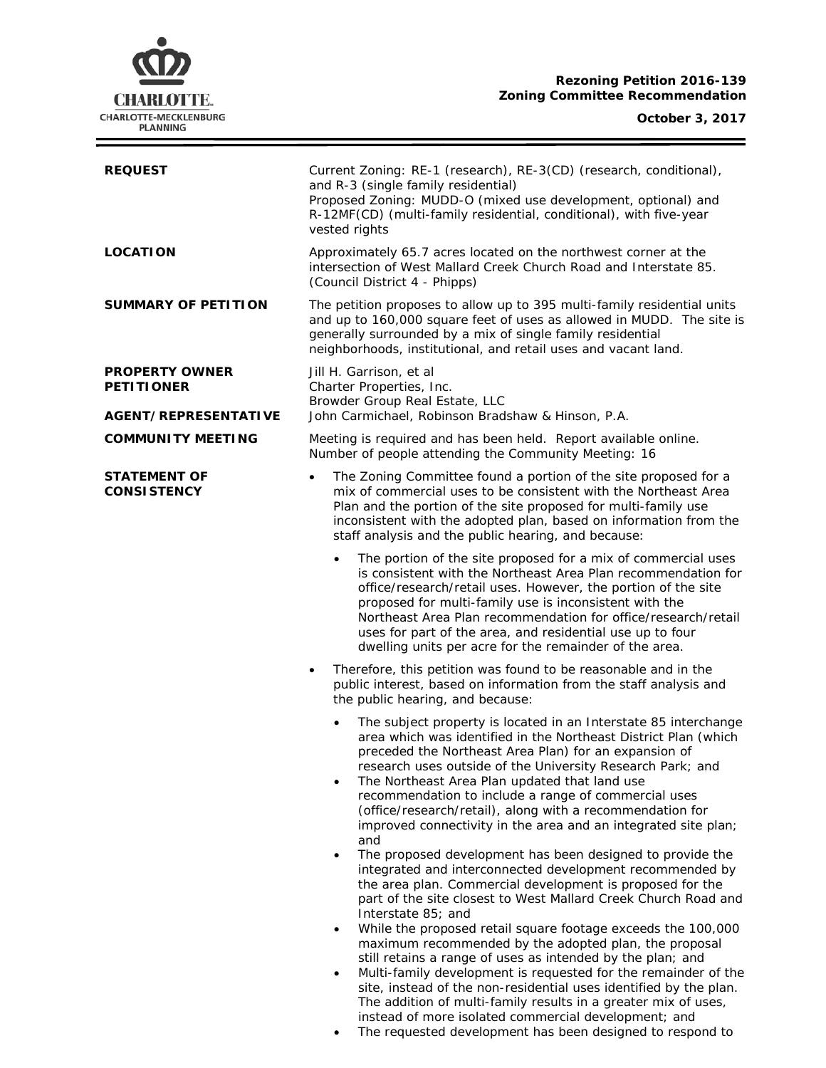# **CHARLOTTE.** CHARLOTTE-MECKLENBURG<br>PLANNING

| <b>REQUEST</b>                             | Current Zoning: RE-1 (research), RE-3(CD) (research, conditional),<br>and R-3 (single family residential)<br>Proposed Zoning: MUDD-O (mixed use development, optional) and<br>R-12MF(CD) (multi-family residential, conditional), with five-year<br>vested rights                                                                                                                                                                                                                                                                                                                                                                                                                                                                                                                                                                                                                                                                                                                                                    |  |  |
|--------------------------------------------|----------------------------------------------------------------------------------------------------------------------------------------------------------------------------------------------------------------------------------------------------------------------------------------------------------------------------------------------------------------------------------------------------------------------------------------------------------------------------------------------------------------------------------------------------------------------------------------------------------------------------------------------------------------------------------------------------------------------------------------------------------------------------------------------------------------------------------------------------------------------------------------------------------------------------------------------------------------------------------------------------------------------|--|--|
| <b>LOCATION</b>                            | Approximately 65.7 acres located on the northwest corner at the<br>intersection of West Mallard Creek Church Road and Interstate 85.<br>(Council District 4 - Phipps)                                                                                                                                                                                                                                                                                                                                                                                                                                                                                                                                                                                                                                                                                                                                                                                                                                                |  |  |
| <b>SUMMARY OF PETITION</b>                 | The petition proposes to allow up to 395 multi-family residential units<br>and up to 160,000 square feet of uses as allowed in MUDD. The site is<br>generally surrounded by a mix of single family residential<br>neighborhoods, institutional, and retail uses and vacant land.                                                                                                                                                                                                                                                                                                                                                                                                                                                                                                                                                                                                                                                                                                                                     |  |  |
| <b>PROPERTY OWNER</b><br><b>PETITIONER</b> | Jill H. Garrison, et al<br>Charter Properties, Inc.<br>Browder Group Real Estate, LLC                                                                                                                                                                                                                                                                                                                                                                                                                                                                                                                                                                                                                                                                                                                                                                                                                                                                                                                                |  |  |
| AGENT/REPRESENTATIVE                       | John Carmichael, Robinson Bradshaw & Hinson, P.A.                                                                                                                                                                                                                                                                                                                                                                                                                                                                                                                                                                                                                                                                                                                                                                                                                                                                                                                                                                    |  |  |
| <b>COMMUNITY MEETING</b>                   | Meeting is required and has been held. Report available online.<br>Number of people attending the Community Meeting: 16                                                                                                                                                                                                                                                                                                                                                                                                                                                                                                                                                                                                                                                                                                                                                                                                                                                                                              |  |  |
| STATEMENT OF<br><b>CONSISTENCY</b>         | The Zoning Committee found a portion of the site proposed for a<br>$\bullet$<br>mix of commercial uses to be consistent with the Northeast Area<br>Plan and the portion of the site proposed for multi-family use<br>inconsistent with the adopted plan, based on information from the<br>staff analysis and the public hearing, and because:                                                                                                                                                                                                                                                                                                                                                                                                                                                                                                                                                                                                                                                                        |  |  |
|                                            | The portion of the site proposed for a mix of commercial uses<br>$\bullet$<br>is consistent with the Northeast Area Plan recommendation for<br>office/research/retail uses. However, the portion of the site<br>proposed for multi-family use is inconsistent with the<br>Northeast Area Plan recommendation for office/research/retail<br>uses for part of the area, and residential use up to four<br>dwelling units per acre for the remainder of the area.                                                                                                                                                                                                                                                                                                                                                                                                                                                                                                                                                       |  |  |
|                                            | Therefore, this petition was found to be reasonable and in the<br>٠<br>public interest, based on information from the staff analysis and<br>the public hearing, and because:                                                                                                                                                                                                                                                                                                                                                                                                                                                                                                                                                                                                                                                                                                                                                                                                                                         |  |  |
|                                            | The subject property is located in an Interstate 85 interchange<br>$\bullet$<br>area which was identified in the Northeast District Plan (which<br>preceded the Northeast Area Plan) for an expansion of<br>research uses outside of the University Research Park; and<br>The Northeast Area Plan updated that land use<br>recommendation to include a range of commercial uses<br>(office/research/retail), along with a recommendation for<br>improved connectivity in the area and an integrated site plan;<br>and<br>The proposed development has been designed to provide the<br>$\bullet$<br>integrated and interconnected development recommended by<br>the area plan. Commercial development is proposed for the<br>part of the site closest to West Mallard Creek Church Road and<br>Interstate 85; and<br>While the proposed retail square footage exceeds the 100,000<br>$\bullet$<br>maximum recommended by the adopted plan, the proposal<br>still retains a range of uses as intended by the plan; and |  |  |
|                                            | Multi-family development is requested for the remainder of the<br>$\bullet$<br>site, instead of the non-residential uses identified by the plan.                                                                                                                                                                                                                                                                                                                                                                                                                                                                                                                                                                                                                                                                                                                                                                                                                                                                     |  |  |

instead of more isolated commercial development; and • The requested development has been designed to respond to

The addition of multi-family results in a greater mix of uses,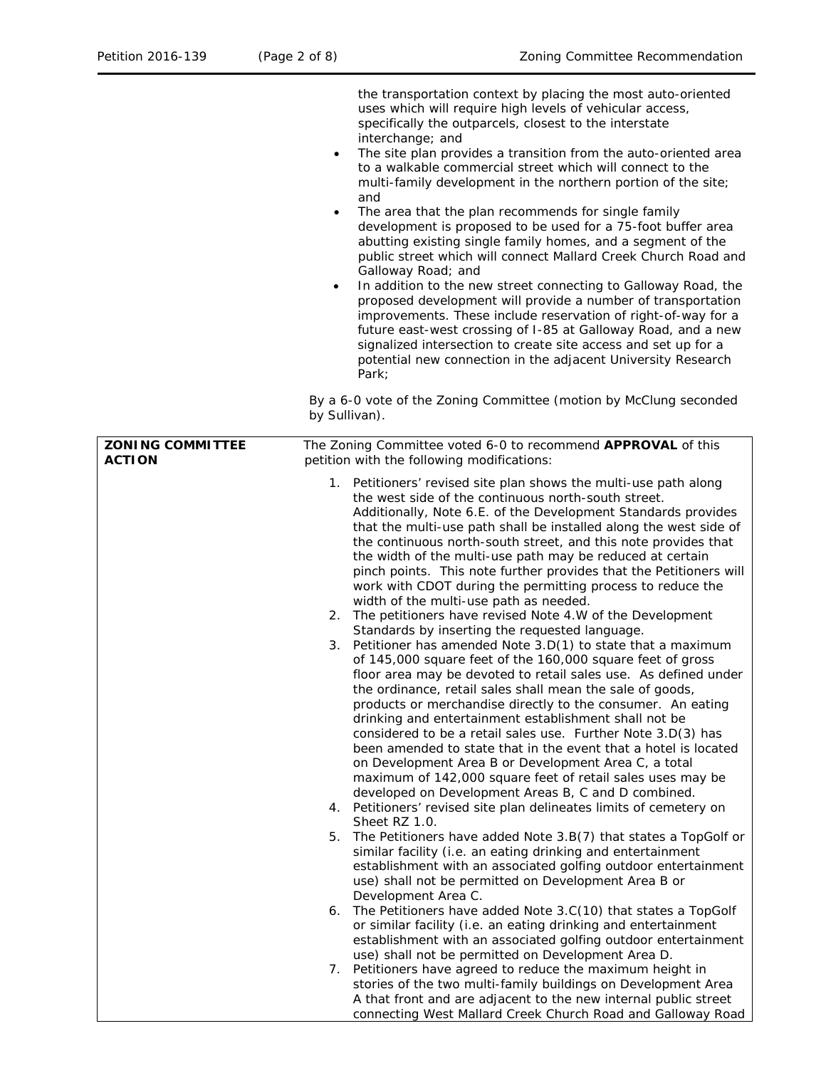the transportation context by placing the most auto-oriented uses which will require high levels of vehicular access, specifically the outparcels, closest to the interstate interchange; and

- The site plan provides a transition from the auto-oriented area to a walkable commercial street which will connect to the multi-family development in the northern portion of the site; and
- The area that the plan recommends for single family development is proposed to be used for a 75-foot buffer area abutting existing single family homes, and a segment of the public street which will connect Mallard Creek Church Road and Galloway Road; and
- In addition to the new street connecting to Galloway Road, the proposed development will provide a number of transportation improvements. These include reservation of right-of-way for a future east-west crossing of I-85 at Galloway Road, and a new signalized intersection to create site access and set up for a potential new connection in the adjacent University Research Park;

By a 6-0 vote of the Zoning Committee (motion by McClung seconded by Sullivan).

| <b>ZONING COMMITTEE</b><br><b>ACTION</b> | The Zoning Committee voted 6-0 to recommend APPROVAL of this<br>petition with the following modifications:                                                                                                                                                                                                                                                                                                                                                                                                                                                                                                                                                                                                                                                                                                                                                                                                               |  |  |
|------------------------------------------|--------------------------------------------------------------------------------------------------------------------------------------------------------------------------------------------------------------------------------------------------------------------------------------------------------------------------------------------------------------------------------------------------------------------------------------------------------------------------------------------------------------------------------------------------------------------------------------------------------------------------------------------------------------------------------------------------------------------------------------------------------------------------------------------------------------------------------------------------------------------------------------------------------------------------|--|--|
|                                          | 1. Petitioners' revised site plan shows the multi-use path along<br>the west side of the continuous north-south street.<br>Additionally, Note 6.E. of the Development Standards provides<br>that the multi-use path shall be installed along the west side of<br>the continuous north-south street, and this note provides that<br>the width of the multi-use path may be reduced at certain<br>pinch points. This note further provides that the Petitioners will<br>work with CDOT during the permitting process to reduce the<br>width of the multi-use path as needed.                                                                                                                                                                                                                                                                                                                                               |  |  |
|                                          | 2. The petitioners have revised Note 4.W of the Development                                                                                                                                                                                                                                                                                                                                                                                                                                                                                                                                                                                                                                                                                                                                                                                                                                                              |  |  |
|                                          | Standards by inserting the requested language.<br>Petitioner has amended Note 3.D(1) to state that a maximum<br>3.<br>of 145,000 square feet of the 160,000 square feet of gross<br>floor area may be devoted to retail sales use. As defined under<br>the ordinance, retail sales shall mean the sale of goods,<br>products or merchandise directly to the consumer. An eating<br>drinking and entertainment establishment shall not be<br>considered to be a retail sales use. Further Note 3.D(3) has<br>been amended to state that in the event that a hotel is located<br>on Development Area B or Development Area C, a total<br>maximum of 142,000 square feet of retail sales uses may be<br>developed on Development Areas B, C and D combined.<br>4. Petitioners' revised site plan delineates limits of cemetery on<br>Sheet RZ 1.0.<br>The Petitioners have added Note 3.B(7) that states a TopGolf or<br>5. |  |  |
|                                          | similar facility (i.e. an eating drinking and entertainment<br>establishment with an associated golfing outdoor entertainment<br>use) shall not be permitted on Development Area B or<br>Development Area C.                                                                                                                                                                                                                                                                                                                                                                                                                                                                                                                                                                                                                                                                                                             |  |  |
|                                          | 6. The Petitioners have added Note 3.C(10) that states a TopGolf<br>or similar facility (i.e. an eating drinking and entertainment<br>establishment with an associated golfing outdoor entertainment<br>use) shall not be permitted on Development Area D.                                                                                                                                                                                                                                                                                                                                                                                                                                                                                                                                                                                                                                                               |  |  |
|                                          | 7. Petitioners have agreed to reduce the maximum height in<br>stories of the two multi-family buildings on Development Area<br>A that front and are adjacent to the new internal public street<br>connecting West Mallard Creek Church Road and Galloway Road                                                                                                                                                                                                                                                                                                                                                                                                                                                                                                                                                                                                                                                            |  |  |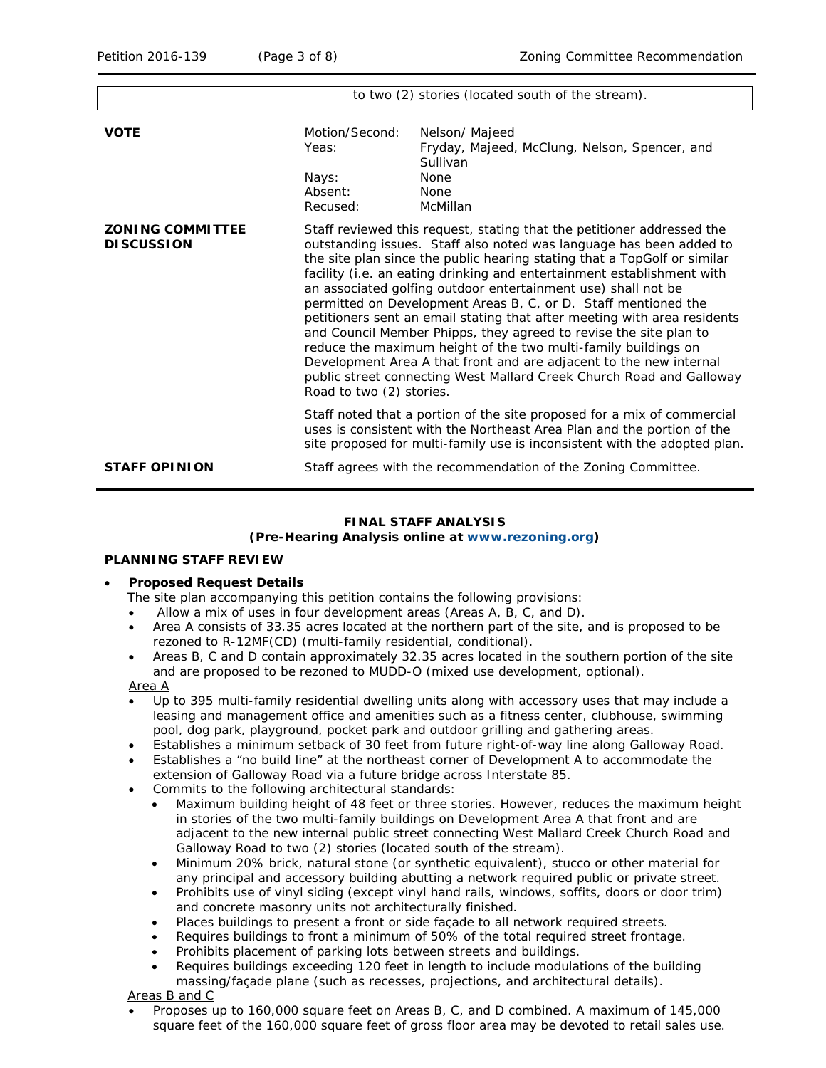|                                              | to two (2) stories (located south of the stream).                                                                                                                                                                                                                                                                                                                                                                                                                                                                                                                                                                                                                                                                                                                                                                                   |                                                                                                                                                                                                                                       |  |
|----------------------------------------------|-------------------------------------------------------------------------------------------------------------------------------------------------------------------------------------------------------------------------------------------------------------------------------------------------------------------------------------------------------------------------------------------------------------------------------------------------------------------------------------------------------------------------------------------------------------------------------------------------------------------------------------------------------------------------------------------------------------------------------------------------------------------------------------------------------------------------------------|---------------------------------------------------------------------------------------------------------------------------------------------------------------------------------------------------------------------------------------|--|
| <b>VOTE</b>                                  | Motion/Second:<br>Yeas:<br>Nays:<br>Absent:<br>Recused:                                                                                                                                                                                                                                                                                                                                                                                                                                                                                                                                                                                                                                                                                                                                                                             | Nelson/Majeed<br>Fryday, Majeed, McClung, Nelson, Spencer, and<br>Sullivan<br><b>None</b><br>None<br>McMillan                                                                                                                         |  |
| <b>ZONING COMMITTEE</b><br><b>DISCUSSION</b> | Staff reviewed this request, stating that the petitioner addressed the<br>outstanding issues. Staff also noted was language has been added to<br>the site plan since the public hearing stating that a TopGolf or similar<br>facility (i.e. an eating drinking and entertainment establishment with<br>an associated golfing outdoor entertainment use) shall not be<br>permitted on Development Areas B, C, or D. Staff mentioned the<br>petitioners sent an email stating that after meeting with area residents<br>and Council Member Phipps, they agreed to revise the site plan to<br>reduce the maximum height of the two multi-family buildings on<br>Development Area A that front and are adjacent to the new internal<br>public street connecting West Mallard Creek Church Road and Galloway<br>Road to two (2) stories. |                                                                                                                                                                                                                                       |  |
|                                              |                                                                                                                                                                                                                                                                                                                                                                                                                                                                                                                                                                                                                                                                                                                                                                                                                                     | Staff noted that a portion of the site proposed for a mix of commercial<br>uses is consistent with the <i>Northeast Area Plan</i> and the portion of the<br>site proposed for multi-family use is inconsistent with the adopted plan. |  |
| <b>STAFF OPINION</b>                         |                                                                                                                                                                                                                                                                                                                                                                                                                                                                                                                                                                                                                                                                                                                                                                                                                                     | Staff agrees with the recommendation of the Zoning Committee.                                                                                                                                                                         |  |

### **FINAL STAFF ANALYSIS (Pre-Hearing Analysis online at [www.rezoning.org\)](http://www.rezoning.org/)**

# **PLANNING STAFF REVIEW**

#### • **Proposed Request Details**

The site plan accompanying this petition contains the following provisions:

- Allow a mix of uses in four development areas (Areas A, B, C, and D).
- Area A consists of 33.35 acres located at the northern part of the site, and is proposed to be rezoned to R-12MF(CD) (multi-family residential, conditional).
- Areas B, C and D contain approximately 32.35 acres located in the southern portion of the site and are proposed to be rezoned to MUDD-O (mixed use development, optional).

Area A

- Up to 395 multi-family residential dwelling units along with accessory uses that may include a leasing and management office and amenities such as a fitness center, clubhouse, swimming pool, dog park, playground, pocket park and outdoor grilling and gathering areas.
- Establishes a minimum setback of 30 feet from future right-of-way line along Galloway Road.
- Establishes a "no build line" at the northeast corner of Development A to accommodate the extension of Galloway Road via a future bridge across Interstate 85.
- Commits to the following architectural standards:
	- Maximum building height of 48 feet or three stories. However, reduces the maximum height in stories of the two multi-family buildings on Development Area A that front and are adjacent to the new internal public street connecting West Mallard Creek Church Road and Galloway Road to two (2) stories (located south of the stream).
	- Minimum 20% brick, natural stone (or synthetic equivalent), stucco or other material for any principal and accessory building abutting a network required public or private street.
	- Prohibits use of vinyl siding (except vinyl hand rails, windows, soffits, doors or door trim) and concrete masonry units not architecturally finished.
	- Places buildings to present a front or side façade to all network required streets.
	- Requires buildings to front a minimum of 50% of the total required street frontage.
	- Prohibits placement of parking lots between streets and buildings.
	- Requires buildings exceeding 120 feet in length to include modulations of the building massing/façade plane (such as recesses, projections, and architectural details).

Areas B and C

• Proposes up to 160,000 square feet on Areas B, C, and D combined. A maximum of 145,000 square feet of the 160,000 square feet of gross floor area may be devoted to retail sales use.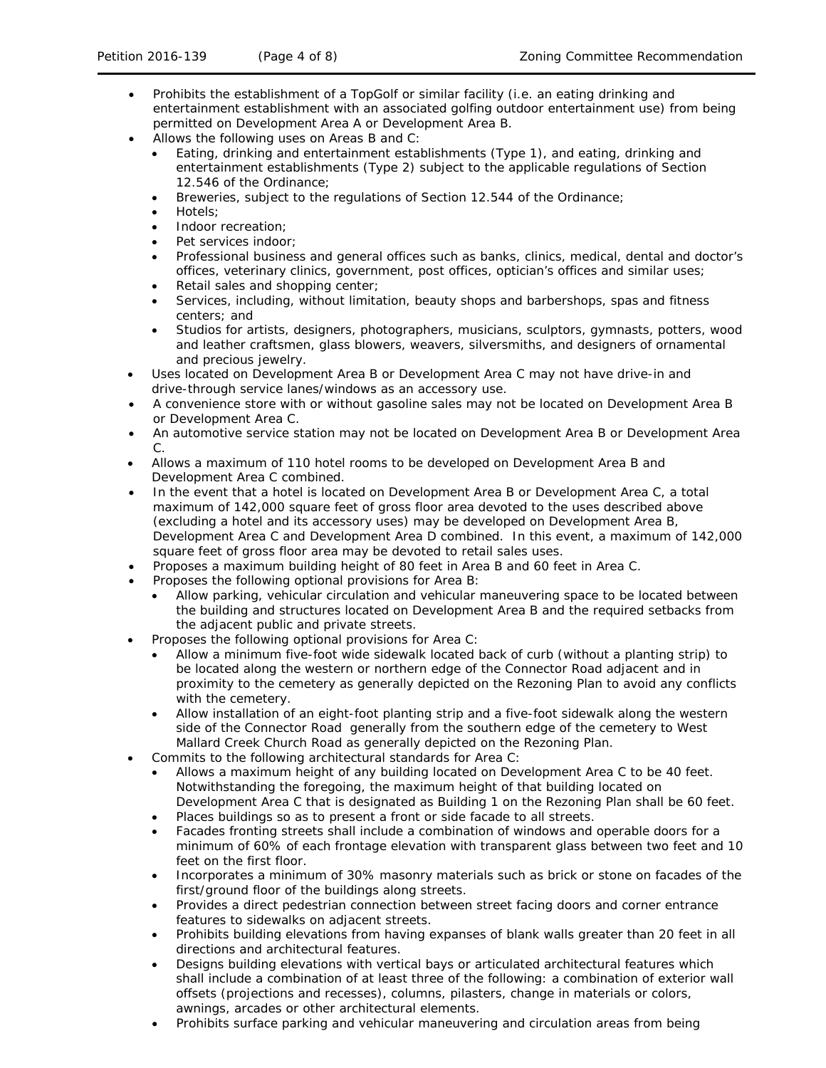- Prohibits the establishment of a TopGolf or similar facility (i.e. an eating drinking and entertainment establishment with an associated golfing outdoor entertainment use) from being permitted on Development Area A or Development Area B.
- Allows the following uses on Areas B and C:
	- Eating, drinking and entertainment establishments (Type 1), and eating, drinking and entertainment establishments (Type 2) subject to the applicable regulations of Section 12.546 of the Ordinance;
	- Breweries, subject to the regulations of Section 12.544 of the Ordinance;
	- Hotels;
	- Indoor recreation;
	- Pet services indoor:
	- Professional business and general offices such as banks, clinics, medical, dental and doctor's offices, veterinary clinics, government, post offices, optician's offices and similar uses;
	- Retail sales and shopping center;
	- Services, including, without limitation, beauty shops and barbershops, spas and fitness centers; and
	- Studios for artists, designers, photographers, musicians, sculptors, gymnasts, potters, wood and leather craftsmen, glass blowers, weavers, silversmiths, and designers of ornamental and precious jewelry.
- Uses located on Development Area B or Development Area C may not have drive-in and drive-through service lanes/windows as an accessory use.
- A convenience store with or without gasoline sales may not be located on Development Area B or Development Area C.
- An automotive service station may not be located on Development Area B or Development Area C.
- Allows a maximum of 110 hotel rooms to be developed on Development Area B and Development Area C combined.
- In the event that a hotel is located on Development Area B or Development Area C, a total maximum of 142,000 square feet of gross floor area devoted to the uses described above (excluding a hotel and its accessory uses) may be developed on Development Area B, Development Area C and Development Area D combined. In this event, a maximum of 142,000 square feet of gross floor area may be devoted to retail sales uses.
- Proposes a maximum building height of 80 feet in Area B and 60 feet in Area C.
- Proposes the following optional provisions for Area B:
	- Allow parking, vehicular circulation and vehicular maneuvering space to be located between the building and structures located on Development Area B and the required setbacks from the adjacent public and private streets.
- Proposes the following optional provisions for Area C:
	- Allow a minimum five-foot wide sidewalk located back of curb (without a planting strip) to be located along the western or northern edge of the Connector Road adjacent and in proximity to the cemetery as generally depicted on the Rezoning Plan to avoid any conflicts with the cemetery.
	- Allow installation of an eight-foot planting strip and a five-foot sidewalk along the western side of the Connector Road generally from the southern edge of the cemetery to West Mallard Creek Church Road as generally depicted on the Rezoning Plan.
- Commits to the following architectural standards for Area C:
	- Allows a maximum height of any building located on Development Area C to be 40 feet. Notwithstanding the foregoing, the maximum height of that building located on Development Area C that is designated as Building 1 on the Rezoning Plan shall be 60 feet.
	- Places buildings so as to present a front or side facade to all streets.
	- Facades fronting streets shall include a combination of windows and operable doors for a minimum of 60% of each frontage elevation with transparent glass between two feet and 10 feet on the first floor.
	- Incorporates a minimum of 30% masonry materials such as brick or stone on facades of the first/ground floor of the buildings along streets.
	- Provides a direct pedestrian connection between street facing doors and corner entrance features to sidewalks on adjacent streets.
	- Prohibits building elevations from having expanses of blank walls greater than 20 feet in all directions and architectural features.
	- Designs building elevations with vertical bays or articulated architectural features which shall include a combination of at least three of the following: a combination of exterior wall offsets (projections and recesses), columns, pilasters, change in materials or colors, awnings, arcades or other architectural elements.
	- Prohibits surface parking and vehicular maneuvering and circulation areas from being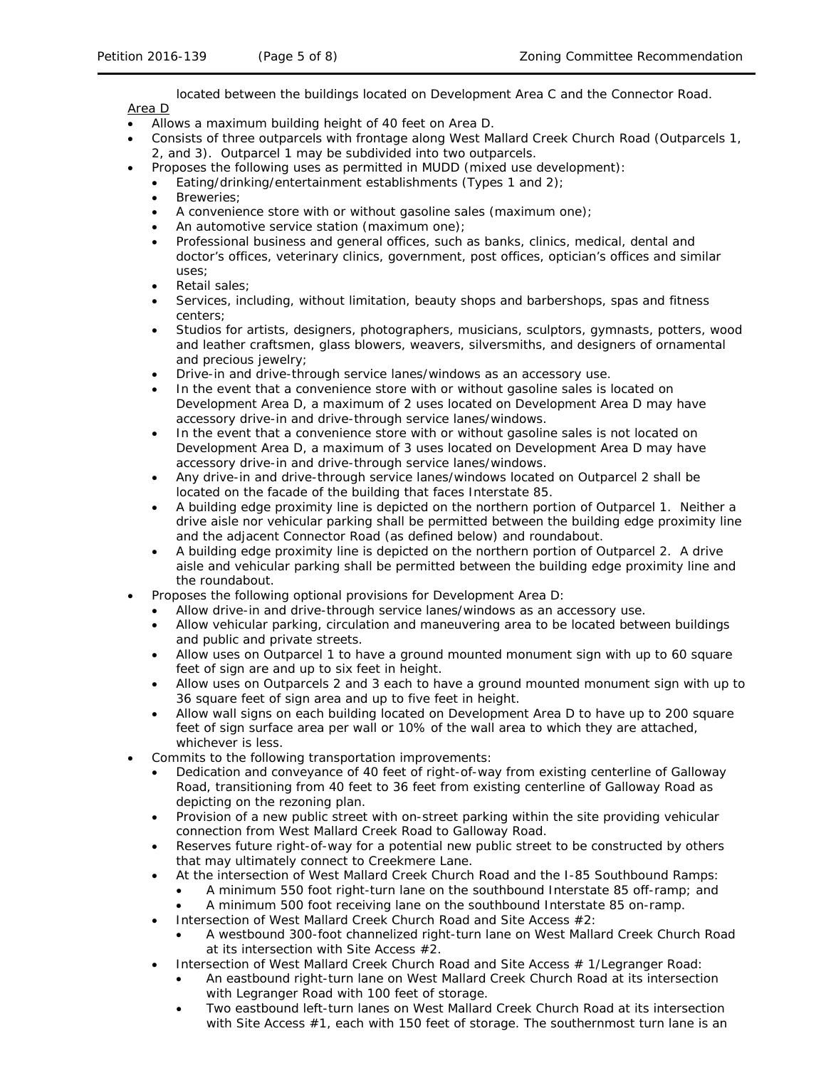located between the buildings located on Development Area C and the Connector Road. Area D

- Allows a maximum building height of 40 feet on Area D.
- Consists of three outparcels with frontage along West Mallard Creek Church Road (Outparcels 1, 2, and 3). Outparcel 1 may be subdivided into two outparcels.
	- Proposes the following uses as permitted in MUDD (mixed use development):
	- Eating/drinking/entertainment establishments (Types 1 and 2);
	- Breweries;
	- A convenience store with or without gasoline sales (maximum one);
	- An automotive service station (maximum one);
	- Professional business and general offices, such as banks, clinics, medical, dental and doctor's offices, veterinary clinics, government, post offices, optician's offices and similar uses;
	- Retail sales;
	- Services, including, without limitation, beauty shops and barbershops, spas and fitness centers;
	- Studios for artists, designers, photographers, musicians, sculptors, gymnasts, potters, wood and leather craftsmen, glass blowers, weavers, silversmiths, and designers of ornamental and precious jewelry;
	- Drive-in and drive-through service lanes/windows as an accessory use.
	- In the event that a convenience store with or without gasoline sales is located on Development Area D, a maximum of 2 uses located on Development Area D may have accessory drive-in and drive-through service lanes/windows.
	- In the event that a convenience store with or without gasoline sales is not located on Development Area D, a maximum of 3 uses located on Development Area D may have accessory drive-in and drive-through service lanes/windows.
	- Any drive-in and drive-through service lanes/windows located on Outparcel 2 shall be located on the facade of the building that faces Interstate 85.
	- A building edge proximity line is depicted on the northern portion of Outparcel 1. Neither a drive aisle nor vehicular parking shall be permitted between the building edge proximity line and the adjacent Connector Road (as defined below) and roundabout.
	- A building edge proximity line is depicted on the northern portion of Outparcel 2. A drive aisle and vehicular parking shall be permitted between the building edge proximity line and the roundabout.
- Proposes the following optional provisions for Development Area D:
	- Allow drive-in and drive-through service lanes/windows as an accessory use.
	- Allow vehicular parking, circulation and maneuvering area to be located between buildings and public and private streets.
	- Allow uses on Outparcel 1 to have a ground mounted monument sign with up to 60 square feet of sign are and up to six feet in height.
	- Allow uses on Outparcels 2 and 3 each to have a ground mounted monument sign with up to 36 square feet of sign area and up to five feet in height.
	- Allow wall signs on each building located on Development Area D to have up to 200 square feet of sign surface area per wall or 10% of the wall area to which they are attached, whichever is less.
- Commits to the following transportation improvements:
	- Dedication and conveyance of 40 feet of right-of-way from existing centerline of Galloway Road, transitioning from 40 feet to 36 feet from existing centerline of Galloway Road as depicting on the rezoning plan.
	- Provision of a new public street with on-street parking within the site providing vehicular connection from West Mallard Creek Road to Galloway Road.
	- Reserves future right-of-way for a potential new public street to be constructed by others that may ultimately connect to Creekmere Lane.
	- At the intersection of West Mallard Creek Church Road and the I-85 Southbound Ramps:
		- A minimum 550 foot right-turn lane on the southbound Interstate 85 off-ramp; and
		- A minimum 500 foot receiving lane on the southbound Interstate 85 on-ramp.
	- Intersection of West Mallard Creek Church Road and Site Access #2:
		- A westbound 300-foot channelized right-turn lane on West Mallard Creek Church Road at its intersection with Site Access #2.
	- Intersection of West Mallard Creek Church Road and Site Access # 1/Legranger Road:
		- An eastbound right-turn lane on West Mallard Creek Church Road at its intersection with Legranger Road with 100 feet of storage.
		- Two eastbound left-turn lanes on West Mallard Creek Church Road at its intersection with Site Access #1, each with 150 feet of storage. The southernmost turn lane is an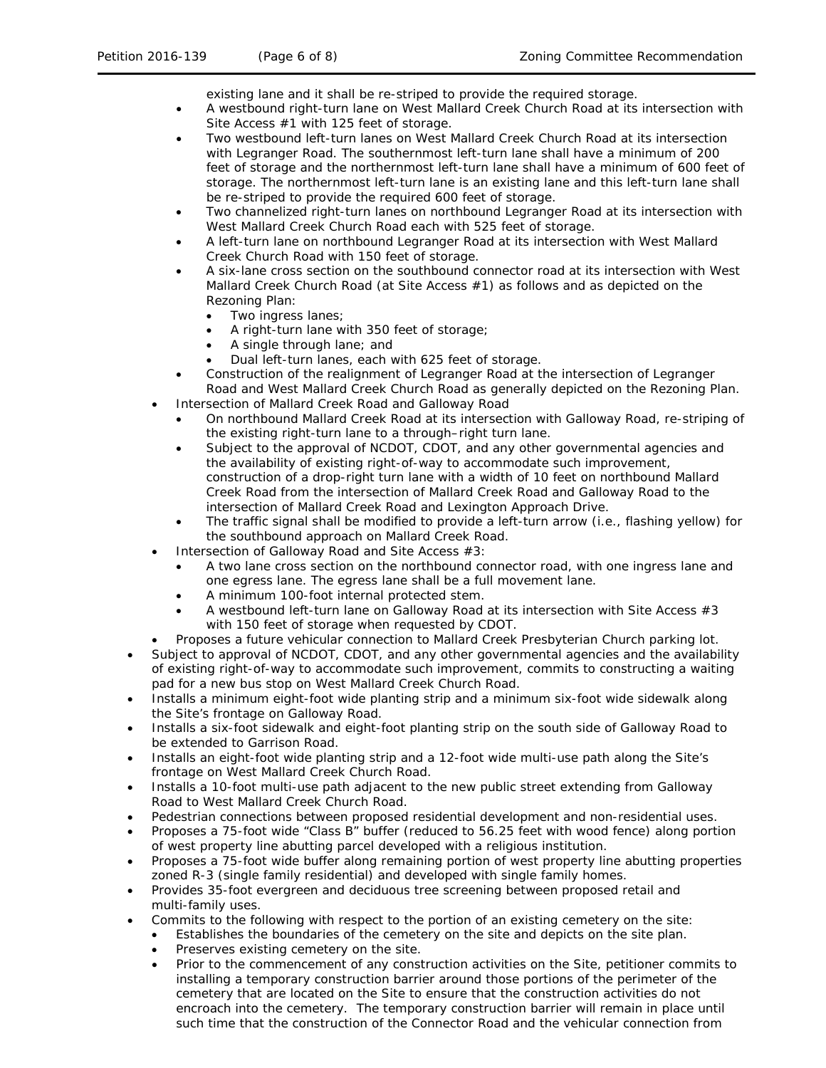existing lane and it shall be re-striped to provide the required storage.

- A westbound right-turn lane on West Mallard Creek Church Road at its intersection with Site Access #1 with 125 feet of storage.
- Two westbound left-turn lanes on West Mallard Creek Church Road at its intersection with Legranger Road. The southernmost left-turn lane shall have a minimum of 200 feet of storage and the northernmost left-turn lane shall have a minimum of 600 feet of storage. The northernmost left-turn lane is an existing lane and this left-turn lane shall be re-striped to provide the required 600 feet of storage.
- Two channelized right-turn lanes on northbound Legranger Road at its intersection with West Mallard Creek Church Road each with 525 feet of storage.
- A left-turn lane on northbound Legranger Road at its intersection with West Mallard Creek Church Road with 150 feet of storage.
- A six-lane cross section on the southbound connector road at its intersection with West Mallard Creek Church Road (at Site Access #1) as follows and as depicted on the Rezoning Plan:
	- Two ingress lanes;
	- A right-turn lane with 350 feet of storage;
	- A single through lane; and
	- Dual left-turn lanes, each with 625 feet of storage.
- Construction of the realignment of Legranger Road at the intersection of Legranger Road and West Mallard Creek Church Road as generally depicted on the Rezoning Plan.
- Intersection of Mallard Creek Road and Galloway Road
	- On northbound Mallard Creek Road at its intersection with Galloway Road, re-striping of the existing right-turn lane to a through–right turn lane.
	- Subject to the approval of NCDOT, CDOT, and any other governmental agencies and the availability of existing right-of-way to accommodate such improvement, construction of a drop-right turn lane with a width of 10 feet on northbound Mallard Creek Road from the intersection of Mallard Creek Road and Galloway Road to the intersection of Mallard Creek Road and Lexington Approach Drive.
	- The traffic signal shall be modified to provide a left-turn arrow (i.e., flashing yellow) for the southbound approach on Mallard Creek Road.
- Intersection of Galloway Road and Site Access #3:
	- A two lane cross section on the northbound connector road, with one ingress lane and one egress lane. The egress lane shall be a full movement lane.
	- A minimum 100-foot internal protected stem.
	- A westbound left-turn lane on Galloway Road at its intersection with Site Access #3 with 150 feet of storage when requested by CDOT.
- Proposes a future vehicular connection to Mallard Creek Presbyterian Church parking lot.
- Subject to approval of NCDOT, CDOT, and any other governmental agencies and the availability of existing right-of-way to accommodate such improvement, commits to constructing a waiting pad for a new bus stop on West Mallard Creek Church Road.
- Installs a minimum eight-foot wide planting strip and a minimum six-foot wide sidewalk along the Site's frontage on Galloway Road.
- Installs a six-foot sidewalk and eight-foot planting strip on the south side of Galloway Road to be extended to Garrison Road.
- Installs an eight-foot wide planting strip and a 12-foot wide multi-use path along the Site's frontage on West Mallard Creek Church Road.
- Installs a 10-foot multi-use path adjacent to the new public street extending from Galloway Road to West Mallard Creek Church Road.
- Pedestrian connections between proposed residential development and non-residential uses.
- Proposes a 75-foot wide "Class B" buffer (reduced to 56.25 feet with wood fence) along portion of west property line abutting parcel developed with a religious institution.
- Proposes a 75-foot wide buffer along remaining portion of west property line abutting properties zoned R-3 (single family residential) and developed with single family homes.
- Provides 35-foot evergreen and deciduous tree screening between proposed retail and multi-family uses.
- Commits to the following with respect to the portion of an existing cemetery on the site:
	- Establishes the boundaries of the cemetery on the site and depicts on the site plan.
	- Preserves existing cemetery on the site.
	- Prior to the commencement of any construction activities on the Site, petitioner commits to installing a temporary construction barrier around those portions of the perimeter of the cemetery that are located on the Site to ensure that the construction activities do not encroach into the cemetery. The temporary construction barrier will remain in place until such time that the construction of the Connector Road and the vehicular connection from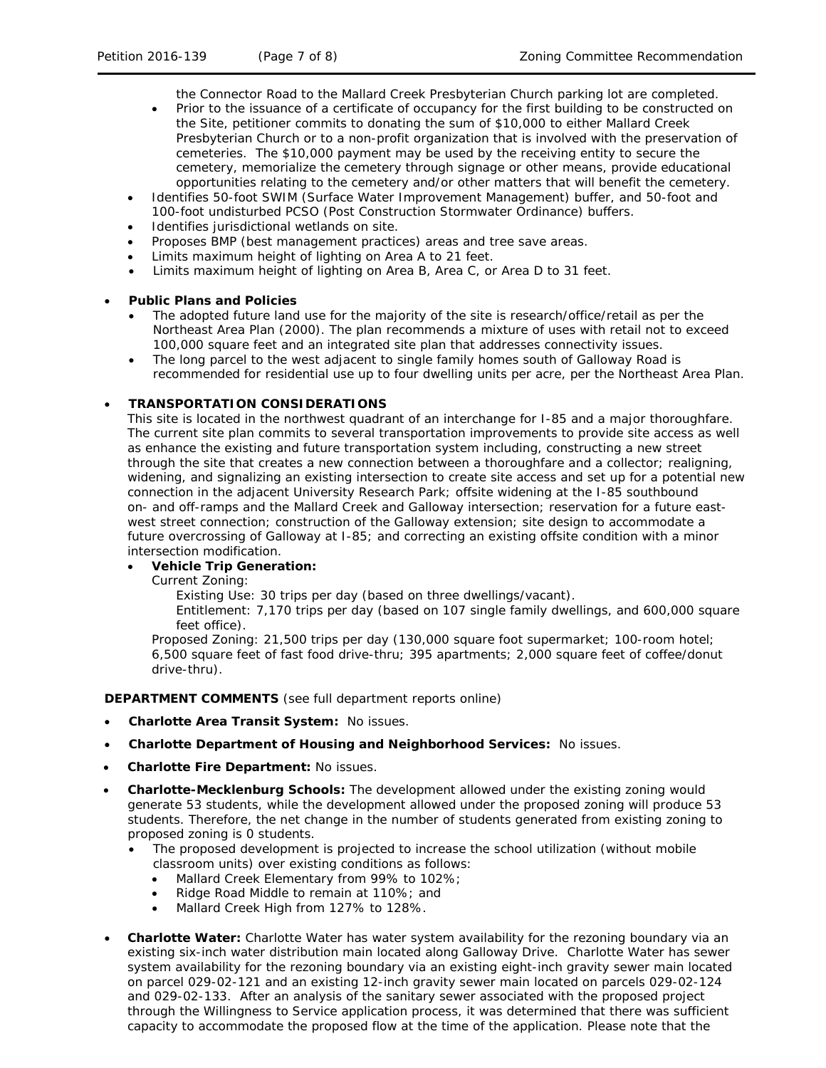the Connector Road to the Mallard Creek Presbyterian Church parking lot are completed.

- Prior to the issuance of a certificate of occupancy for the first building to be constructed on the Site, petitioner commits to donating the sum of \$10,000 to either Mallard Creek Presbyterian Church or to a non-profit organization that is involved with the preservation of cemeteries. The \$10,000 payment may be used by the receiving entity to secure the cemetery, memorialize the cemetery through signage or other means, provide educational opportunities relating to the cemetery and/or other matters that will benefit the cemetery.
- Identifies 50-foot SWIM (Surface Water Improvement Management) buffer, and 50-foot and 100-foot undisturbed PCSO (Post Construction Stormwater Ordinance) buffers.
- Identifies jurisdictional wetlands on site.
- Proposes BMP (best management practices) areas and tree save areas.
- Limits maximum height of lighting on Area A to 21 feet.
- Limits maximum height of lighting on Area B, Area C, or Area D to 31 feet.

#### • **Public Plans and Policies**

- The adopted future land use for the majority of the site is research/office/retail as per the *Northeast Area Plan* (2000). The plan recommends a mixture of uses with retail not to exceed 100,000 square feet and an integrated site plan that addresses connectivity issues.
- The long parcel to the west adjacent to single family homes south of Galloway Road is recommended for residential use up to four dwelling units per acre, per the *Northeast Area Plan.*

## • **TRANSPORTATION CONSIDERATIONS**

This site is located in the northwest quadrant of an interchange for I-85 and a major thoroughfare. The current site plan commits to several transportation improvements to provide site access as well as enhance the existing and future transportation system including, constructing a new street through the site that creates a new connection between a thoroughfare and a collector; realigning, widening, and signalizing an existing intersection to create site access and set up for a potential new connection in the adjacent University Research Park; offsite widening at the I-85 southbound on- and off-ramps and the Mallard Creek and Galloway intersection; reservation for a future eastwest street connection; construction of the Galloway extension; site design to accommodate a future overcrossing of Galloway at I-85; and correcting an existing offsite condition with a minor intersection modification.

#### • **Vehicle Trip Generation:**

Current Zoning:

Existing Use: 30 trips per day (based on three dwellings/vacant).

Entitlement: 7,170 trips per day (based on 107 single family dwellings, and 600,000 square feet office).

Proposed Zoning: 21,500 trips per day (130,000 square foot supermarket; 100-room hotel; 6,500 square feet of fast food drive-thru; 395 apartments; 2,000 square feet of coffee/donut drive-thru).

**DEPARTMENT COMMENTS** (see full department reports online)

- **Charlotte Area Transit System:** No issues.
- **Charlotte Department of Housing and Neighborhood Services:** No issues.
- **Charlotte Fire Department:** No issues.
- **Charlotte-Mecklenburg Schools:** The development allowed under the existing zoning would generate 53 students, while the development allowed under the proposed zoning will produce 53 students. Therefore, the net change in the number of students generated from existing zoning to proposed zoning is 0 students.
	- The proposed development is projected to increase the school utilization (without mobile classroom units) over existing conditions as follows:
		- Mallard Creek Elementary from 99% to 102%;
		- Ridge Road Middle to remain at 110%; and
		- Mallard Creek High from 127% to 128%.
- **Charlotte Water:** Charlotte Water has water system availability for the rezoning boundary via an existing six-inch water distribution main located along Galloway Drive. Charlotte Water has sewer system availability for the rezoning boundary via an existing eight-inch gravity sewer main located on parcel 029-02-121 and an existing 12-inch gravity sewer main located on parcels 029-02-124 and 029-02-133. After an analysis of the sanitary sewer associated with the proposed project through the Willingness to Service application process, it was determined that there was sufficient capacity to accommodate the proposed flow at the time of the application. Please note that the